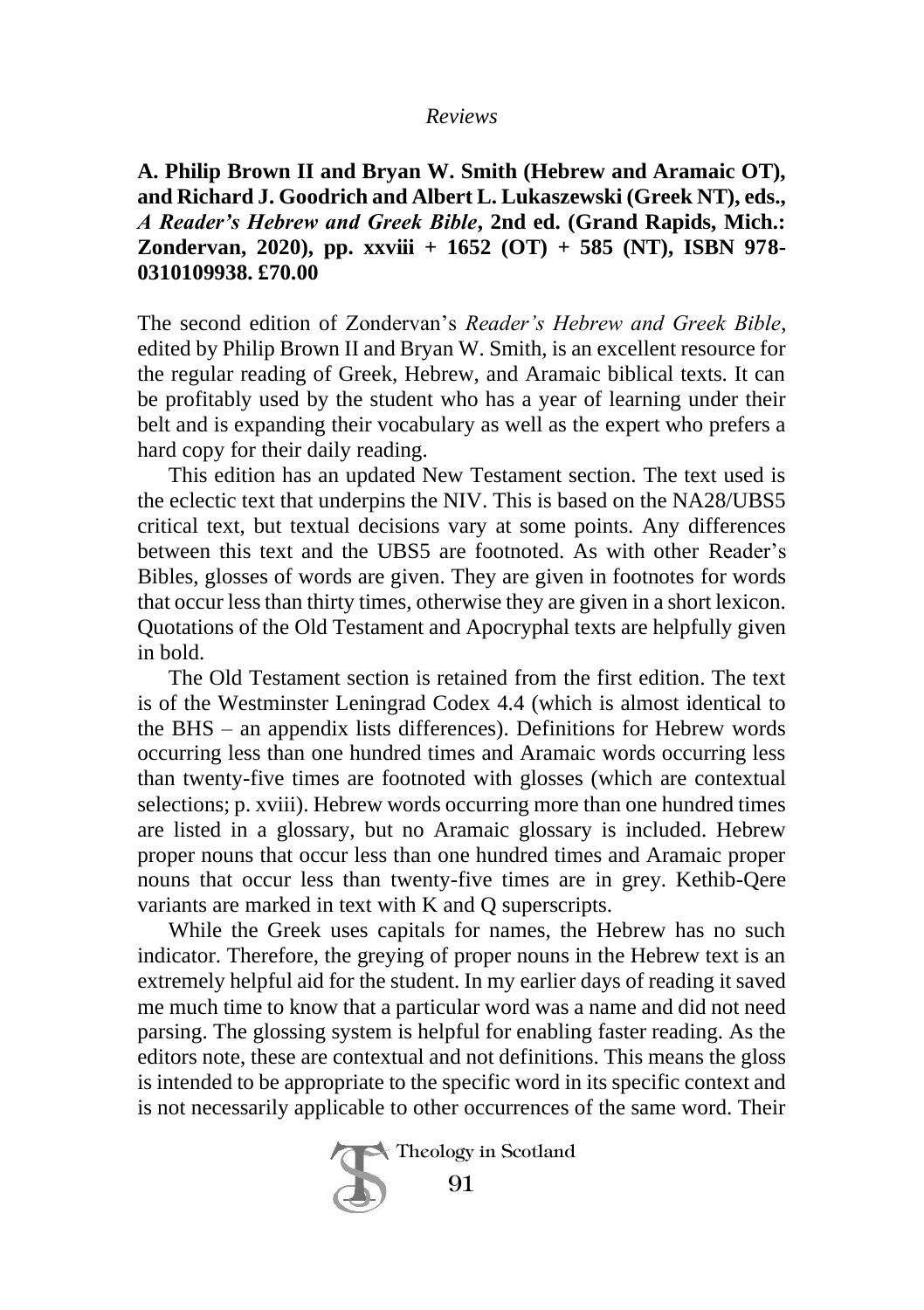## *Reviews*

**A. Philip Brown II and Bryan W. Smith (Hebrew and Aramaic OT), and Richard J. Goodrich and Albert L. Lukaszewski (Greek NT), eds.,** *A Reader's Hebrew and Greek Bible***, 2nd ed. (Grand Rapids, Mich.: Zondervan, 2020), pp. xxviii + 1652 (OT) + 585 (NT), ISBN 978- 0310109938. £70.00**

The second edition of Zondervan's *Reader's Hebrew and Greek Bible*, edited by Philip Brown II and Bryan W. Smith, is an excellent resource for the regular reading of Greek, Hebrew, and Aramaic biblical texts. It can be profitably used by the student who has a year of learning under their belt and is expanding their vocabulary as well as the expert who prefers a hard copy for their daily reading.

This edition has an updated New Testament section. The text used is the eclectic text that underpins the NIV. This is based on the NA28/UBS5 critical text, but textual decisions vary at some points. Any differences between this text and the UBS5 are footnoted. As with other Reader's Bibles, glosses of words are given. They are given in footnotes for words that occur less than thirty times, otherwise they are given in a short lexicon. Quotations of the Old Testament and Apocryphal texts are helpfully given in bold.

The Old Testament section is retained from the first edition. The text is of the Westminster Leningrad Codex 4.4 (which is almost identical to the BHS – an appendix lists differences). Definitions for Hebrew words occurring less than one hundred times and Aramaic words occurring less than twenty-five times are footnoted with glosses (which are contextual selections; p. xviii). Hebrew words occurring more than one hundred times are listed in a glossary, but no Aramaic glossary is included. Hebrew proper nouns that occur less than one hundred times and Aramaic proper nouns that occur less than twenty-five times are in grey. Kethib-Qere variants are marked in text with K and Q superscripts.

While the Greek uses capitals for names, the Hebrew has no such indicator. Therefore, the greying of proper nouns in the Hebrew text is an extremely helpful aid for the student. In my earlier days of reading it saved me much time to know that a particular word was a name and did not need parsing. The glossing system is helpful for enabling faster reading. As the editors note, these are contextual and not definitions. This means the gloss is intended to be appropriate to the specific word in its specific context and is not necessarily applicable to other occurrences of the same word. Their